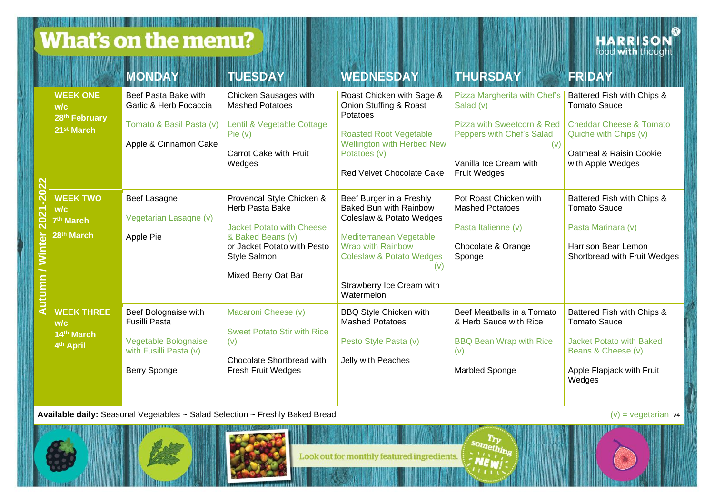What's on the menu?

**HARRISON** 

|                                 |                                                                           | <b>MONDAY</b>                                                                                                  | <b>TUESDAY</b>                                                                                                                                                              | <b>WEDNESDAY</b>                                                                                                                                                                                                               | <b>THURSDAY</b>                                                                                                                                              | <b>FRIDAY</b>                                                                                                                                         |
|---------------------------------|---------------------------------------------------------------------------|----------------------------------------------------------------------------------------------------------------|-----------------------------------------------------------------------------------------------------------------------------------------------------------------------------|--------------------------------------------------------------------------------------------------------------------------------------------------------------------------------------------------------------------------------|--------------------------------------------------------------------------------------------------------------------------------------------------------------|-------------------------------------------------------------------------------------------------------------------------------------------------------|
| $\overline{\mathbf{S}}$<br>2021 | <b>WEEK ONE</b><br>w/c<br>28th February<br>21 <sup>st</sup> March         | Beef Pasta Bake with<br>Garlic & Herb Focaccia<br>Tomato & Basil Pasta (v)<br>Apple & Cinnamon Cake            | Chicken Sausages with<br><b>Mashed Potatoes</b><br>Lentil & Vegetable Cottage<br>Pie (v)<br>Carrot Cake with Fruit<br>Wedges                                                | Roast Chicken with Sage &<br>Onion Stuffing & Roast<br>Potatoes<br><b>Roasted Root Vegetable</b><br>Wellington with Herbed New<br>Potatoes (v)<br>Red Velvet Chocolate Cake                                                    | Pizza Margherita with Chef's<br>Salad (v)<br>Pizza with Sweetcorn & Red<br>Peppers with Chef's Salad<br>(v)<br>Vanilla Ice Cream with<br><b>Fruit Wedges</b> | Battered Fish with Chips &<br><b>Tomato Sauce</b><br>Cheddar Cheese & Tomato<br>Quiche with Chips (v)<br>Oatmeal & Raisin Cookie<br>with Apple Wedges |
|                                 | <b>WEEK TWO</b><br>W/c<br>7 <sup>th</sup> March<br>28 <sup>th</sup> March | Beef Lasagne<br>Vegetarian Lasagne (v)<br>Apple Pie                                                            | Provencal Style Chicken &<br>Herb Pasta Bake<br><b>Jacket Potato with Cheese</b><br>& Baked Beans (v)<br>or Jacket Potato with Pesto<br>Style Salmon<br>Mixed Berry Oat Bar | Beef Burger in a Freshly<br>Baked Bun with Rainbow<br>Coleslaw & Potato Wedges<br>Mediterranean Vegetable<br><b>Wrap with Rainbow</b><br><b>Coleslaw &amp; Potato Wedges</b><br>(v)<br>Strawberry Ice Cream with<br>Watermelon | Pot Roast Chicken with<br><b>Mashed Potatoes</b><br>Pasta Italienne (v)<br>Chocolate & Orange<br>Sponge                                                      | Battered Fish with Chips &<br><b>Tomato Sauce</b><br>Pasta Marinara (v)<br>Harrison Bear Lemon<br>Shortbread with Fruit Wedges                        |
|                                 | <b>WEEK THREE</b><br>W/C<br>14th March<br>4th April                       | Beef Bolognaise with<br><b>Fusilli Pasta</b><br>Vegetable Bolognaise<br>with Fusilli Pasta (v)<br>Berry Sponge | Macaroni Cheese (v)<br><b>Sweet Potato Stir with Rice</b><br>(v)<br>Chocolate Shortbread with<br>Fresh Fruit Wedges                                                         | <b>BBQ Style Chicken with</b><br><b>Mashed Potatoes</b><br>Pesto Style Pasta (v)<br>Jelly with Peaches                                                                                                                         | Beef Meatballs in a Tomato<br>& Herb Sauce with Rice<br><b>BBQ Bean Wrap with Rice</b><br>(v)<br><b>Marbled Sponge</b>                                       | Battered Fish with Chips &<br><b>Tomato Sauce</b><br>Jacket Potato with Baked<br>Beans & Cheese (v)<br>Apple Flapjack with Fruit<br>Wedges            |

**Available daily:** Seasonal Vegetables ~ Salad Selection ~ Freshly Baked Bread (v) = vegetarian v4 (v) = vegetarian v4



Look out for monthly featured ingredients.

something